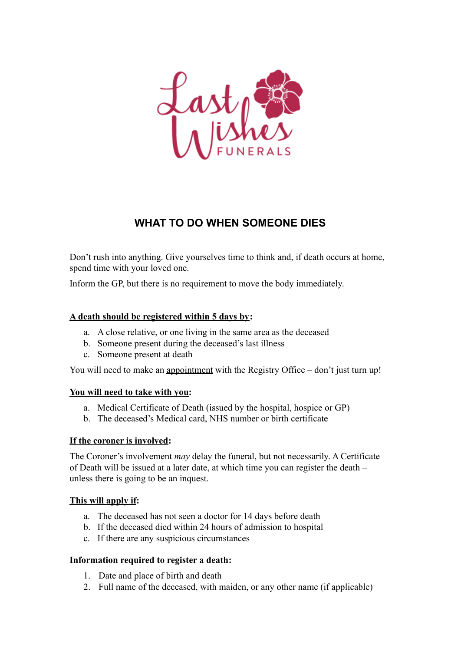

# **WHAT TO DO WHEN SOMEONE DIES**

Don't rush into anything. Give yourselves time to think and, if death occurs at home, spend time with your loved one.

Inform the GP, but there is no requirement to move the body immediately.

### **A death should be registered within 5 days by:**

- a. A close relative, or one living in the same area as the deceased
- b. Someone present during the deceased's last illness
- c. Someone present at death

You will need to make an appointment with the Registry Office – don't just turn up!

#### **You will need to take with you:**

- a. Medical Certificate of Death (issued by the hospital, hospice or GP)
- b. The deceased's Medical card, NHS number or birth certificate

#### **If the coroner is involved:**

The Coroner's involvement *may* delay the funeral, but not necessarily. A Certificate of Death will be issued at a later date, at which time you can register the death – unless there is going to be an inquest.

## **This will apply if:**

- a. The deceased has not seen a doctor for 14 days before death
- b. If the deceased died within 24 hours of admission to hospital
- c. If there are any suspicious circumstances

#### **Information required to register a death:**

- 1. Date and place of birth and death
- 2. Full name of the deceased, with maiden, or any other name (if applicable)